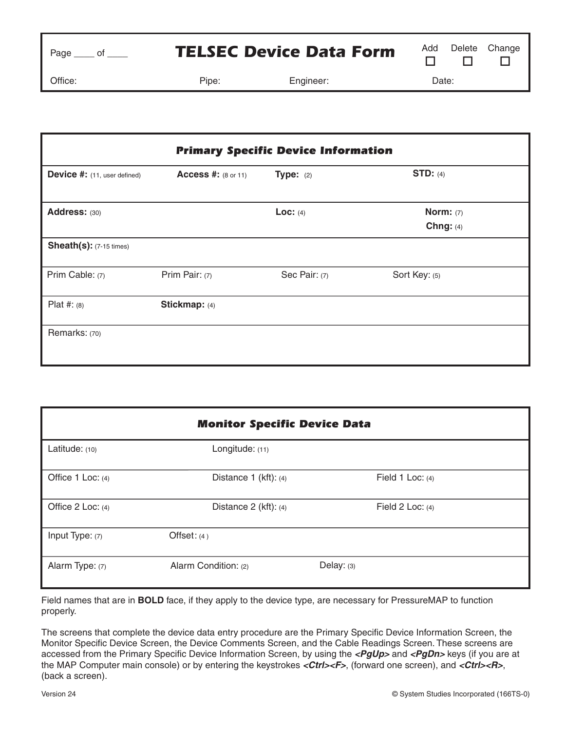| Page |  |
|------|--|
|      |  |

## **TELSEC Device Data Form** Add Delete Change

Office: Pipe: Engineer: Date:

| <b>Primary Specific Device Information</b> |                            |                    |                            |
|--------------------------------------------|----------------------------|--------------------|----------------------------|
| Device #: (11, user defined)               | <b>Access #: (8 or 11)</b> | <b>Type:</b> $(2)$ | STD: $(4)$                 |
| Address: (30)                              |                            | Loc: $(4)$         | Norm: $(7)$<br>Chng: $(4)$ |
| <b>Sheath(s):</b> (7-15 times)             |                            |                    |                            |
| Prim Cable: (7)                            | Prim Pair: (7)             | Sec Pair: (7)      | Sort Key: (5)              |
| Plat #: $(8)$                              | Stickmap: (4)              |                    |                            |
| Remarks: (70)                              |                            |                    |                            |

| <b>Monitor Specific Device Data</b> |                           |                    |  |  |
|-------------------------------------|---------------------------|--------------------|--|--|
| Latitude: (10)                      | Longitude: (11)           |                    |  |  |
| Office 1 Loc: (4)                   | Distance 1 (kft): (4)     | Field 1 Loc: $(4)$ |  |  |
| Office 2 Loc: (4)                   | Distance $2$ (kft): $(4)$ | Field 2 Loc: $(4)$ |  |  |
| Input Type: (7)                     | Offset: (4)               |                    |  |  |
| Alarm Type: (7)                     | Alarm Condition: (2)      | Delay: (3)         |  |  |

Field names that are in **BOLD** face, if they apply to the device type, are necessary for PressureMAP to function properly.

The screens that complete the device data entry procedure are the Primary Specific Device Information Screen, the Monitor Specific Device Screen, the Device Comments Screen, and the Cable Readings Screen. These screens are accessed from the Primary Specific Device Information Screen, by using the **<PgUp>** and **<PgDn>** keys (if you are at the MAP Computer main console) or by entering the keystrokes <Ctrl><F>, (forward one screen), and <Ctrl><R>, (back a screen).